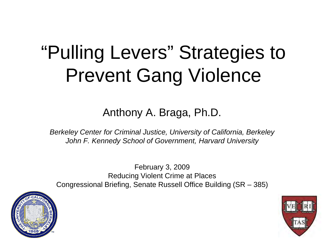# "Pulling Levers" Strategies to Prevent Gang Violence

Anthony A. Braga, Ph.D.

*Berkeley Center for Criminal Justice, University of California, Berkeley John F. Kennedy School of Government, Harvard University*

February 3, 2009 Reducing Violent Crime at Places Congressional Briefing, Senate Russell Office Building (SR – 385)



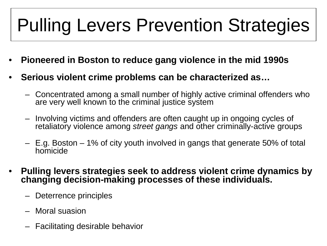### Pulling Levers Prevention Strategies

- **Pioneered in Boston to reduce gang violence in the mid 1990s**
- **Serious violent crime problems can be characterized as…**
	- Concentrated among a small number of highly active criminal offenders who are very well known to the criminal justice system
	- Involving victims and offenders are often caught up in ongoing cycles of retaliatory violence among *street gangs* and other criminally-active groups
	- E.g. Boston 1% of city youth involved in gangs that generate 50% of total homicide
- **Pulling levers strategies seek to address violent crime dynamics by changing decision-making processes of these individuals.**
	- Deterrence principles
	- Moral suasion
	- Facilitating desirable behavior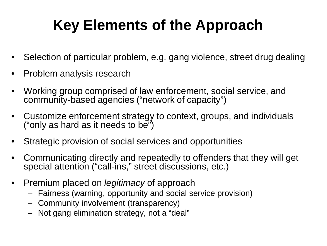### **Key Elements of the Approach**

- Selection of particular problem, e.g. gang violence, street drug dealing
- Problem analysis research
- Working group comprised of law enforcement, social service, and community-based agencies ("network of capacity")
- Customize enforcement strategy to context, groups, and individuals ("only as hard as it needs to be")
- Strategic provision of social services and opportunities
- Communicating directly and repeatedly to offenders that they will get special attention ("call-ins," street discussions, etc.)
- Premium placed on *legitimacy* of approach
	- Fairness (warning, opportunity and social service provision)
	- Community involvement (transparency)
	- Not gang elimination strategy, not a "deal"